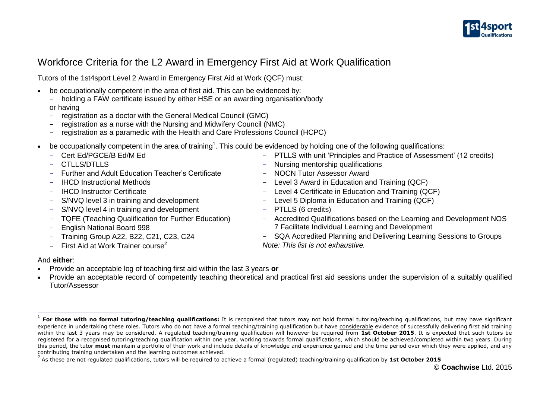

# Workforce Criteria for the L2 Award in Emergency First Aid at Work Qualification

Tutors of the 1st4sport Level 2 Award in Emergency First Aid at Work (QCF) must:

- be occupationally competent in the area of first aid. This can be evidenced by:
	- holding a FAW certificate issued by either HSE or an awarding organisation/body or having
	- registration as a doctor with the General Medical Council (GMC)
	- registration as a nurse with the Nursing and Midwifery Council (NMC)
	- registration as a paramedic with the Health and Care Professions Council (HCPC)
- $\bullet$  be occupationally competent in the area of training<sup>1</sup>. This could be evidenced by holding one of the following qualifications:
	- Cert Ed/PGCE/B Ed/M Ed
	- CTLLS/DTLLS
	- Further and Adult Education Teacher's Certificate
	- IHCD Instructional Methods
	- IHCD Instructor Certificate
	- S/NVQ level 3 in training and development
	- S/NVQ level 4 in training and development
	- TQFE (Teaching Qualification for Further Education)
	- English National Board 998
	- Training Group A22, B22, C21, C23, C24
	- First Aid at Work Trainer course<sup>2</sup>
- PTLLS with unit 'Principles and Practice of Assessment' (12 credits)
- Nursing mentorship qualifications
- NOCN Tutor Assessor Award
- Level 3 Award in Education and Training (QCF)
- Level 4 Certificate in Education and Training (QCF)
- Level 5 Diploma in Education and Training (QCF)
- PTLLS (6 credits)
- Accredited Qualifications based on the Learning and Development NOS 7 Facilitate Individual Learning and Development
- SQA Accredited Planning and Delivering Learning Sessions to Groups *Note: This list is not exhaustive.*

### And **either**:

f

- Provide an acceptable log of teaching first aid within the last 3 years **or**
- Provide an acceptable record of competently teaching theoretical and practical first aid sessions under the supervision of a suitably qualified Tutor/Assessor

<sup>&</sup>lt;sup>1</sup> For those with no formal tutoring/teaching qualifications: It is recognised that tutors may not hold formal tutoring/teaching qualifications, but may have significant experience in undertaking these roles. Tutors who do not have a formal teaching/training qualification but have considerable evidence of successfully delivering first aid training within the last 3 years may be considered. A regulated teaching/training qualification will however be required from **1st October 2015**. It is expected that such tutors be registered for a recognised tutoring/teaching qualification within one year, working towards formal qualifications, which should be achieved/completed within two years. During this period, the tutor **must** maintain a portfolio of their work and include details of knowledge and experience gained and the time period over which they were applied, and any contributing training undertaken and the learning outcomes achieved.

<sup>2</sup> As these are not regulated qualifications, tutors will be required to achieve a formal (regulated) teaching/training qualification by **1st October 2015**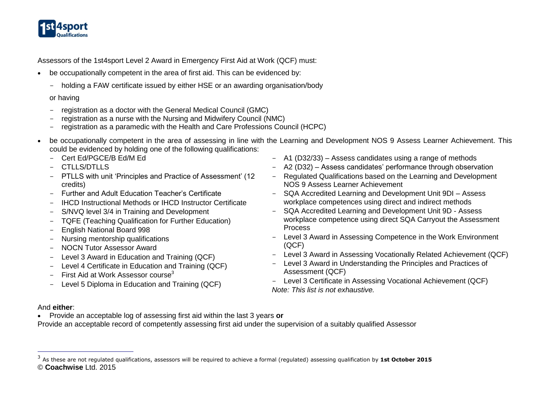

Assessors of the 1st4sport Level 2 Award in Emergency First Aid at Work (QCF) must:

- be occupationally competent in the area of first aid. This can be evidenced by:
	- holding a FAW certificate issued by either HSE or an awarding organisation/body

#### or having

- registration as a doctor with the General Medical Council (GMC)
- registration as a nurse with the Nursing and Midwifery Council (NMC)
- registration as a paramedic with the Health and Care Professions Council (HCPC)
- be occupationally competent in the area of assessing in line with the Learning and Development NOS 9 Assess Learner Achievement. This could be evidenced by holding one of the following qualifications:
	- Cert Ed/PGCE/B Ed/M Ed
	- $-$  CTLLS/DTLLS
	- PTLLS with unit 'Principles and Practice of Assessment' (12 credits)
	- Further and Adult Education Teacher's Certificate
	- IHCD Instructional Methods or IHCD Instructor Certificate
	- S/NVQ level 3/4 in Training and Development
	- TQFE (Teaching Qualification for Further Education)
	- English National Board 998
	- Nursing mentorship qualifications
	- NOCN Tutor Assessor Award
	- Level 3 Award in Education and Training (QCF)
	- Level 4 Certificate in Education and Training (QCF)
	- First Aid at Work Assessor course<sup>3</sup>
	- Level 5 Diploma in Education and Training (QCF)
- A1 (D32/33) Assess candidates using a range of methods
- A2 (D32) Assess candidates' performance through observation
- Regulated Qualifications based on the Learning and Development NOS 9 Assess Learner Achievement
- SQA Accredited Learning and Development Unit 9DI Assess workplace competences using direct and indirect methods
- SQA Accredited Learning and Development Unit 9D Assess workplace competence using direct SQA Carryout the Assessment Process
- Level 3 Award in Assessing Competence in the Work Environment (QCF)
- Level 3 Award in Assessing Vocationally Related Achievement (QCF)
- Level 3 Award in Understanding the Principles and Practices of Assessment (QCF)
- Level 3 Certificate in Assessing Vocational Achievement (QCF) *Note: This list is not exhaustive.*

## And **either**:

-

Provide an acceptable log of assessing first aid within the last 3 years **or**

Provide an acceptable record of competently assessing first aid under the supervision of a suitably qualified Assessor

<sup>©</sup> **Coachwise** Ltd. 2015 3 As these are not regulated qualifications, assessors will be required to achieve a formal (regulated) assessing qualification by **1st October 2015**